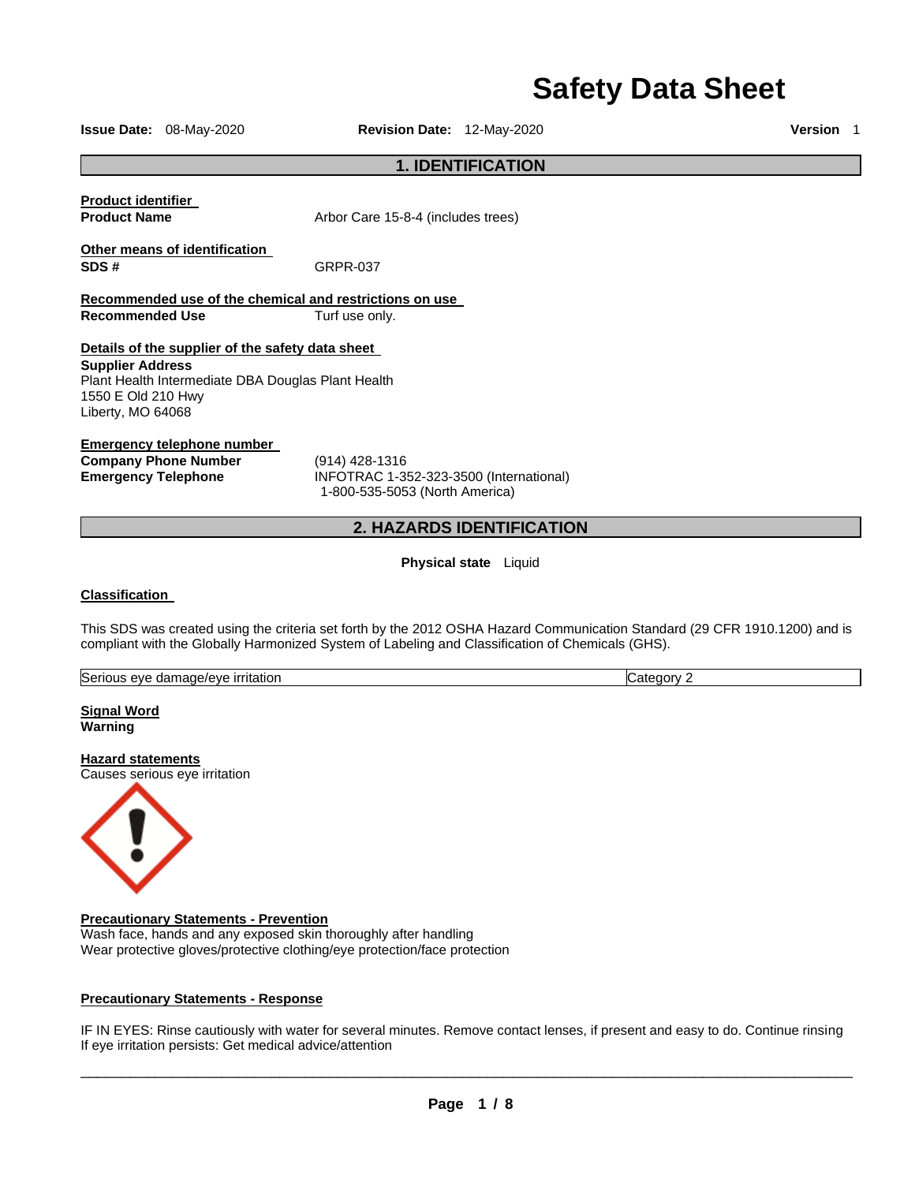# **Safety Data Sheet**

**Issue Date:** 08-May-2020 **Revision Date:** 12-May-2020 **Version** 1

# **1. IDENTIFICATION**

**Product identifier** 

**Product Name Arbor Care 15-8-4 (includes trees)** 

**Other means of identification SDS #** GRPR-037

**Recommended use of the chemical and restrictions on use Recommended Use Turf use only.** 

**Details of the supplier of the safety data sheet** 

**Supplier Address** Plant Health Intermediate DBA Douglas Plant Health 1550 E Old 210 Hwy Liberty, MO 64068

**Emergency telephone number** 

**Company Phone Number** (914) 428-1316

**Emergency Telephone** INFOTRAC 1-352-323-3500 (International) 1-800-535-5053 (North America)

# **2. HAZARDS IDENTIFICATION**

**Physical state** Liquid

# **Classification**

This SDS was created using the criteria set forth by the 2012 OSHA Hazard Communication Standard (29 CFR 1910.1200) and is compliant with the Globally Harmonized System of Labeling and Classification of Chemicals (GHS).

|  | Serious<br>ˈɪtatıor<br>amane/eve<br>AV6<br>пан<br>. | nnrv<br>.arc |
|--|-----------------------------------------------------|--------------|
|--|-----------------------------------------------------|--------------|

**Signal Word Warning** 

**Hazard statements** Causes serious eye irritation



#### **Precautionary Statements - Prevention**

Wash face, hands and any exposed skin thoroughly after handling Wear protective gloves/protective clothing/eye protection/face protection

#### **Precautionary Statements - Response**

IF IN EYES: Rinse cautiously with water for several minutes. Remove contact lenses, if present and easy to do. Continue rinsing If eye irritation persists: Get medical advice/attention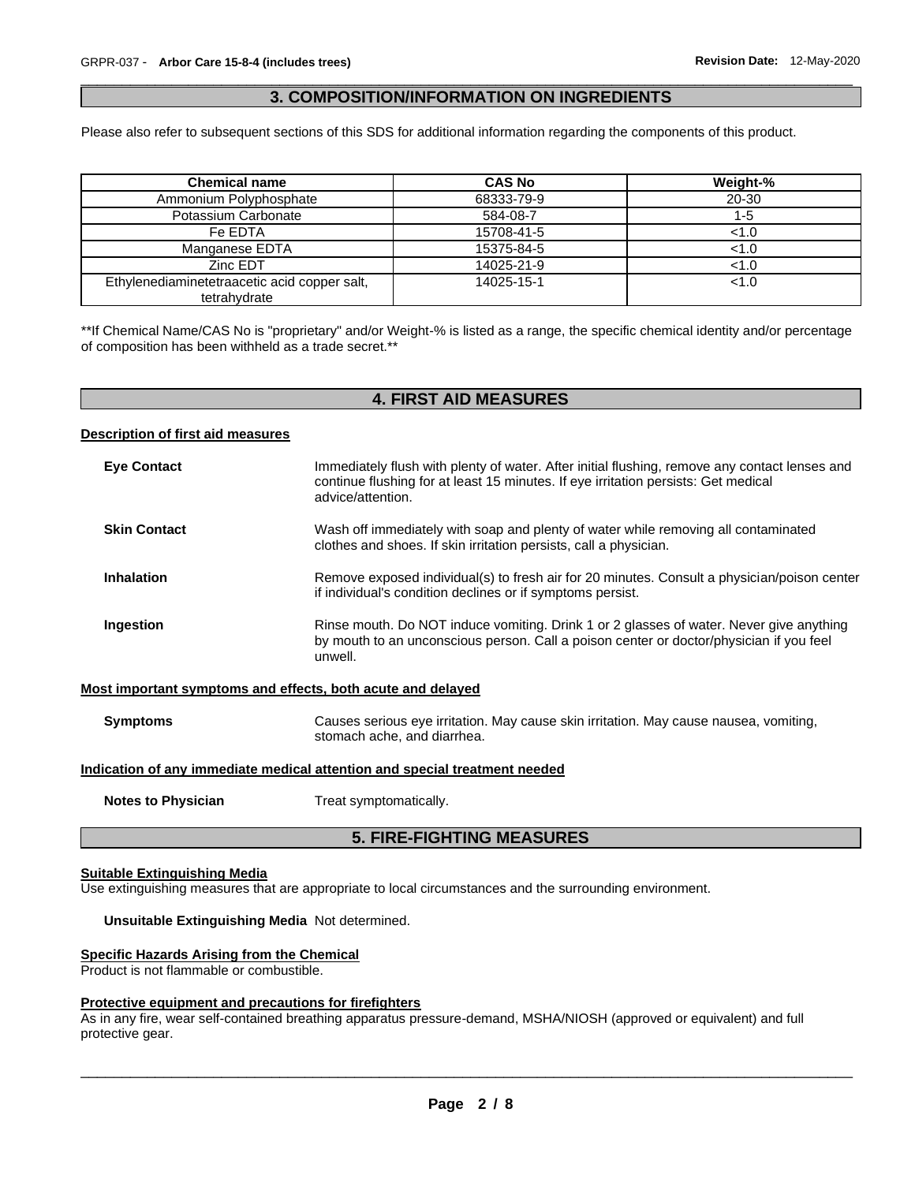# \_\_\_\_\_\_\_\_\_\_\_\_\_\_\_\_\_\_\_\_\_\_\_\_\_\_\_\_\_\_\_\_\_\_\_\_\_\_\_\_\_\_\_\_\_\_\_\_\_\_\_\_\_\_\_\_\_\_\_\_\_\_\_\_\_\_\_\_\_\_\_\_\_\_\_\_\_\_\_\_\_\_\_\_\_\_\_\_\_\_\_\_\_ **3. COMPOSITION/INFORMATION ON INGREDIENTS**

Please also refer to subsequent sections of this SDS for additional information regarding the components of this product.

| <b>Chemical name</b>                                         | <b>CAS No</b> | Weight-% |
|--------------------------------------------------------------|---------------|----------|
| Ammonium Polyphosphate                                       | 68333-79-9    | 20-30    |
| Potassium Carbonate                                          | 584-08-7      | 1-5      |
| Fe EDTA                                                      | 15708-41-5    | < 1.0    |
| Manganese EDTA                                               | 15375-84-5    | < 1.0    |
| Zinc EDT                                                     | 14025-21-9    | < 1.0    |
| Ethylenediaminetetraacetic acid copper salt,<br>tetrahydrate | 14025-15-1    | < 1.0    |

\*\*If Chemical Name/CAS No is "proprietary" and/or Weight-% is listed as a range, the specific chemical identity and/or percentage of composition has been withheld as a trade secret.\*\*

# **4. FIRST AID MEASURES**

#### **Description of first aid measures**

| <b>Eye Contact</b>  | Immediately flush with plenty of water. After initial flushing, remove any contact lenses and<br>continue flushing for at least 15 minutes. If eye irritation persists: Get medical<br>advice/attention. |
|---------------------|----------------------------------------------------------------------------------------------------------------------------------------------------------------------------------------------------------|
| <b>Skin Contact</b> | Wash off immediately with soap and plenty of water while removing all contaminated<br>clothes and shoes. If skin irritation persists, call a physician.                                                  |
| <b>Inhalation</b>   | Remove exposed individual(s) to fresh air for 20 minutes. Consult a physician/poison center<br>if individual's condition declines or if symptoms persist.                                                |
| Ingestion           | Rinse mouth. Do NOT induce vomiting. Drink 1 or 2 glasses of water. Never give anything<br>by mouth to an unconscious person. Call a poison center or doctor/physician if you feel<br>unwell.            |
|                     | Most important symptoms and effects, both acute and delayed                                                                                                                                              |

#### **Symptoms** Causes serious eye irritation. May cause skin irritation. May cause nausea, vomiting, stomach ache, and diarrhea.

#### **Indication of any immediate medical attention and special treatment needed**

**Notes to Physician Treat symptomatically.** 

# **5. FIRE-FIGHTING MEASURES**

#### **Suitable Extinguishing Media**

Use extinguishing measures that are appropriate to local circumstances and the surrounding environment.

#### **Unsuitable Extinguishing Media** Not determined.

# **Specific Hazards Arising from the Chemical**

Product is not flammable or combustible.

#### **Protective equipment and precautions for firefighters**

As in any fire, wear self-contained breathing apparatus pressure-demand, MSHA/NIOSH (approved or equivalent) and full protective gear.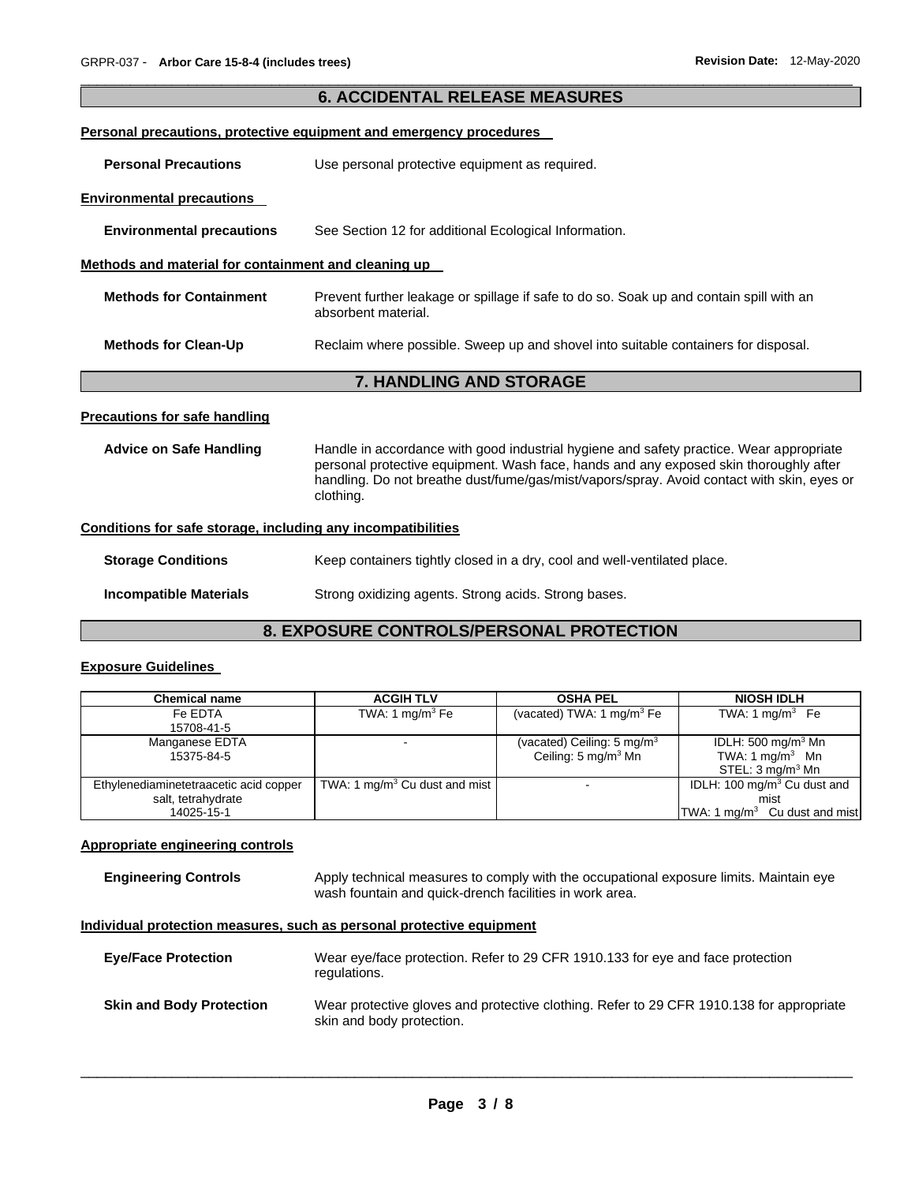| <b>6. ACCIDENTAL RELEASE MEASURES</b>                        |                                                                                                                                                                                                                                                                                             |  |  |
|--------------------------------------------------------------|---------------------------------------------------------------------------------------------------------------------------------------------------------------------------------------------------------------------------------------------------------------------------------------------|--|--|
|                                                              | <b>Personal precautions, protective equipment and emergency procedures</b>                                                                                                                                                                                                                  |  |  |
| <b>Personal Precautions</b>                                  | Use personal protective equipment as required.                                                                                                                                                                                                                                              |  |  |
| <b>Environmental precautions</b>                             |                                                                                                                                                                                                                                                                                             |  |  |
| <b>Environmental precautions</b>                             | See Section 12 for additional Ecological Information.                                                                                                                                                                                                                                       |  |  |
| Methods and material for containment and cleaning up         |                                                                                                                                                                                                                                                                                             |  |  |
| <b>Methods for Containment</b>                               | Prevent further leakage or spillage if safe to do so. Soak up and contain spill with an<br>absorbent material.                                                                                                                                                                              |  |  |
| <b>Methods for Clean-Up</b>                                  | Reclaim where possible. Sweep up and shovel into suitable containers for disposal.                                                                                                                                                                                                          |  |  |
|                                                              | <b>7. HANDLING AND STORAGE</b>                                                                                                                                                                                                                                                              |  |  |
| <b>Precautions for safe handling</b>                         |                                                                                                                                                                                                                                                                                             |  |  |
| <b>Advice on Safe Handling</b>                               | Handle in accordance with good industrial hygiene and safety practice. Wear appropriate<br>personal protective equipment. Wash face, hands and any exposed skin thoroughly after<br>handling. Do not breathe dust/fume/gas/mist/vapors/spray. Avoid contact with skin, eyes or<br>clothing. |  |  |
| Conditions for safe storage, including any incompatibilities |                                                                                                                                                                                                                                                                                             |  |  |
| <b>Storage Conditions</b>                                    | Keep containers tightly closed in a dry, cool and well-ventilated place.                                                                                                                                                                                                                    |  |  |
| <b>Incompatible Materials</b>                                | Strong oxidizing agents. Strong acids. Strong bases.                                                                                                                                                                                                                                        |  |  |

\_\_\_\_\_\_\_\_\_\_\_\_\_\_\_\_\_\_\_\_\_\_\_\_\_\_\_\_\_\_\_\_\_\_\_\_\_\_\_\_\_\_\_\_\_\_\_\_\_\_\_\_\_\_\_\_\_\_\_\_\_\_\_\_\_\_\_\_\_\_\_\_\_\_\_\_\_\_\_\_\_\_\_\_\_\_\_\_\_\_\_\_\_

# **8. EXPOSURE CONTROLS/PERSONAL PROTECTION**

# **Exposure Guidelines**

| <b>Chemical name</b>                   | <b>ACGIH TLV</b>                          | <b>OSHA PEL</b>                       | <b>NIOSH IDLH</b>                         |
|----------------------------------------|-------------------------------------------|---------------------------------------|-------------------------------------------|
| Fe EDTA                                | TWA: 1 mg/m $3$ Fe                        | (vacated) TWA: 1 $mg/m3$ Fe           | TWA: 1 mg/m $3$ Fe                        |
| 15708-41-5                             |                                           |                                       |                                           |
| Manganese EDTA                         |                                           | (vacated) Ceiling: $5 \text{ mg/m}^3$ | IDLH: 500 mg/m <sup>3</sup> Mn            |
| 15375-84-5                             |                                           | Ceiling: $5 \text{ mg/m}^3$ Mn        | TWA: $1 \text{ mg/m}^3$ Mn                |
|                                        |                                           |                                       | STEL: $3 \text{ mg/m}^3$ Mn               |
| Ethylenediaminetetraacetic acid copper | TWA: 1 mg/m <sup>3</sup> Cu dust and mist | $\overline{\phantom{0}}$              | IDLH: 100 mg/m <sup>3</sup> Cu dust and   |
| salt, tetrahydrate                     |                                           |                                       | mist                                      |
| 14025-15-1                             |                                           |                                       | TWA: 1 mg/m <sup>3</sup> Cu dust and mist |

# **Appropriate engineering controls**

| <b>Engineering Controls</b> | Apply technical measures to comply with the occupational exposure limits. Maintain eye |
|-----------------------------|----------------------------------------------------------------------------------------|
|                             | wash fountain and quick-drench facilities in work area.                                |

# **Individual protection measures, such as personal protective equipment**

| <b>Eye/Face Protection</b>      | Wear eye/face protection. Refer to 29 CFR 1910.133 for eye and face protection<br>regulations.                        |
|---------------------------------|-----------------------------------------------------------------------------------------------------------------------|
| <b>Skin and Body Protection</b> | Wear protective gloves and protective clothing. Refer to 29 CFR 1910.138 for appropriate<br>skin and body protection. |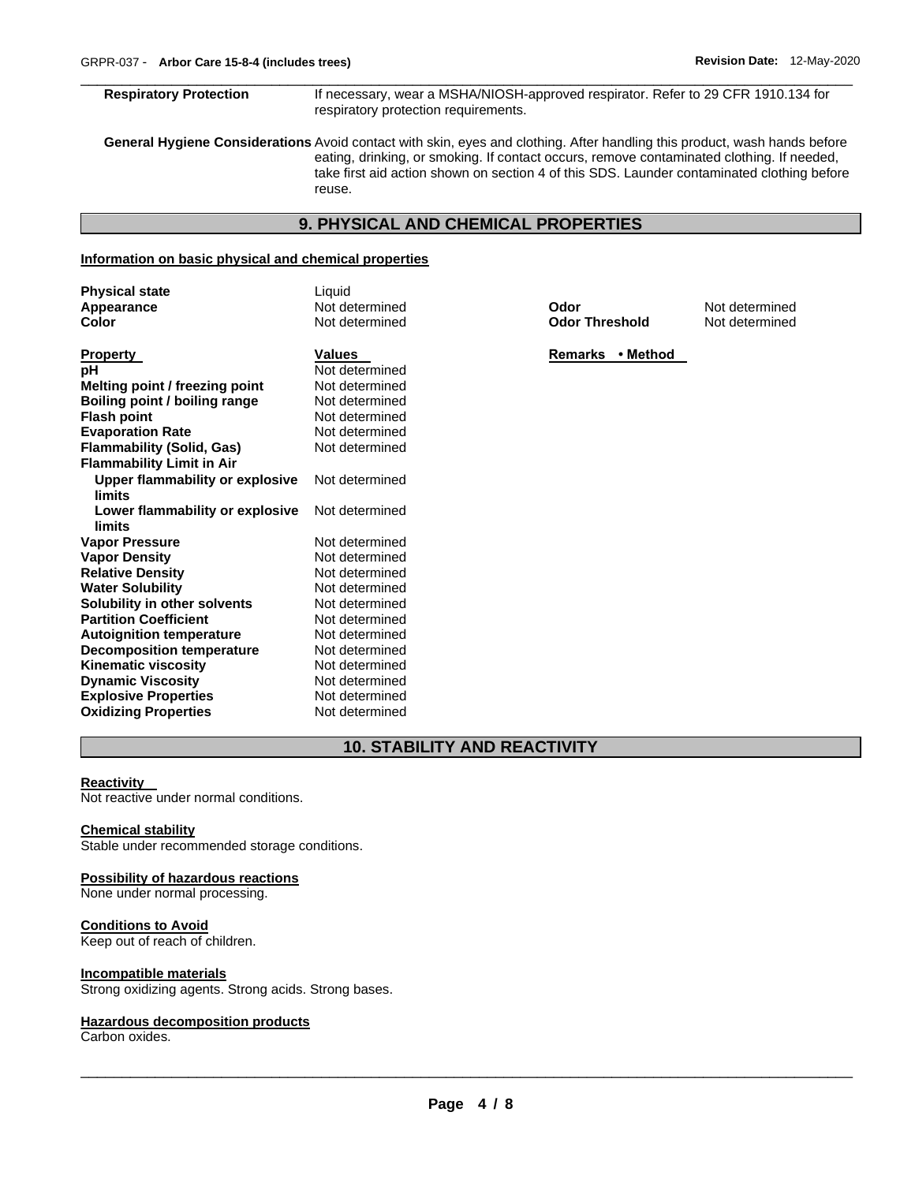#### \_\_\_\_\_\_\_\_\_\_\_\_\_\_\_\_\_\_\_\_\_\_\_\_\_\_\_\_\_\_\_\_\_\_\_\_\_\_\_\_\_\_\_\_\_\_\_\_\_\_\_\_\_\_\_\_\_\_\_\_\_\_\_\_\_\_\_\_\_\_\_\_\_\_\_\_\_\_\_\_\_\_\_\_\_\_\_\_\_\_\_\_\_ **Respiratory Protection** If necessary, wear a MSHA/NIOSH-approved respirator. Refer to 29 CFR 1910.134 for respiratory protection requirements.

**General Hygiene Considerations** Avoid contact with skin, eyes and clothing. After handling this product, wash hands before eating, drinking, or smoking. If contact occurs, remove contaminated clothing. If needed, take first aid action shown on section 4 of this SDS. Launder contaminated clothing before reuse.

# **9. PHYSICAL AND CHEMICAL PROPERTIES**

# **Information on basic physical and chemical properties**

| <b>Physical state</b>                     | Liquid         |                       |                |
|-------------------------------------------|----------------|-----------------------|----------------|
| Appearance                                | Not determined | Odor                  | Not determined |
| Color                                     | Not determined | <b>Odor Threshold</b> | Not determined |
|                                           |                |                       |                |
| <b>Property</b>                           | <b>Values</b>  | Remarks • Method      |                |
| pН                                        | Not determined |                       |                |
| Melting point / freezing point            | Not determined |                       |                |
| Boiling point / boiling range             | Not determined |                       |                |
| <b>Flash point</b>                        | Not determined |                       |                |
| <b>Evaporation Rate</b>                   | Not determined |                       |                |
| Flammability (Solid, Gas)                 | Not determined |                       |                |
| <b>Flammability Limit in Air</b>          |                |                       |                |
| Upper flammability or explosive<br>limits | Not determined |                       |                |
| Lower flammability or explosive<br>limits | Not determined |                       |                |
| <b>Vapor Pressure</b>                     | Not determined |                       |                |
| Vapor Density                             | Not determined |                       |                |
| <b>Relative Density</b>                   | Not determined |                       |                |
| <b>Water Solubility</b>                   | Not determined |                       |                |
| Solubility in other solvents              | Not determined |                       |                |
| <b>Partition Coefficient</b>              | Not determined |                       |                |
| <b>Autoignition temperature</b>           | Not determined |                       |                |
| <b>Decomposition temperature</b>          | Not determined |                       |                |
| Kinematic viscosity                       | Not determined |                       |                |
| <b>Dynamic Viscosity</b>                  | Not determined |                       |                |
| <b>Explosive Properties</b>               | Not determined |                       |                |

# **10. STABILITY AND REACTIVITY**

#### **Reactivity**

Not reactive under normal conditions.

#### **Chemical stability**

Stable under recommended storage conditions.

**Oxidizing Properties** Not determined

#### **Possibility of hazardous reactions**

None under normal processing.

# **Conditions to Avoid**

Keep out of reach of children.

#### **Incompatible materials**

Strong oxidizing agents. Strong acids. Strong bases.

#### **Hazardous decomposition products**

Carbon oxides.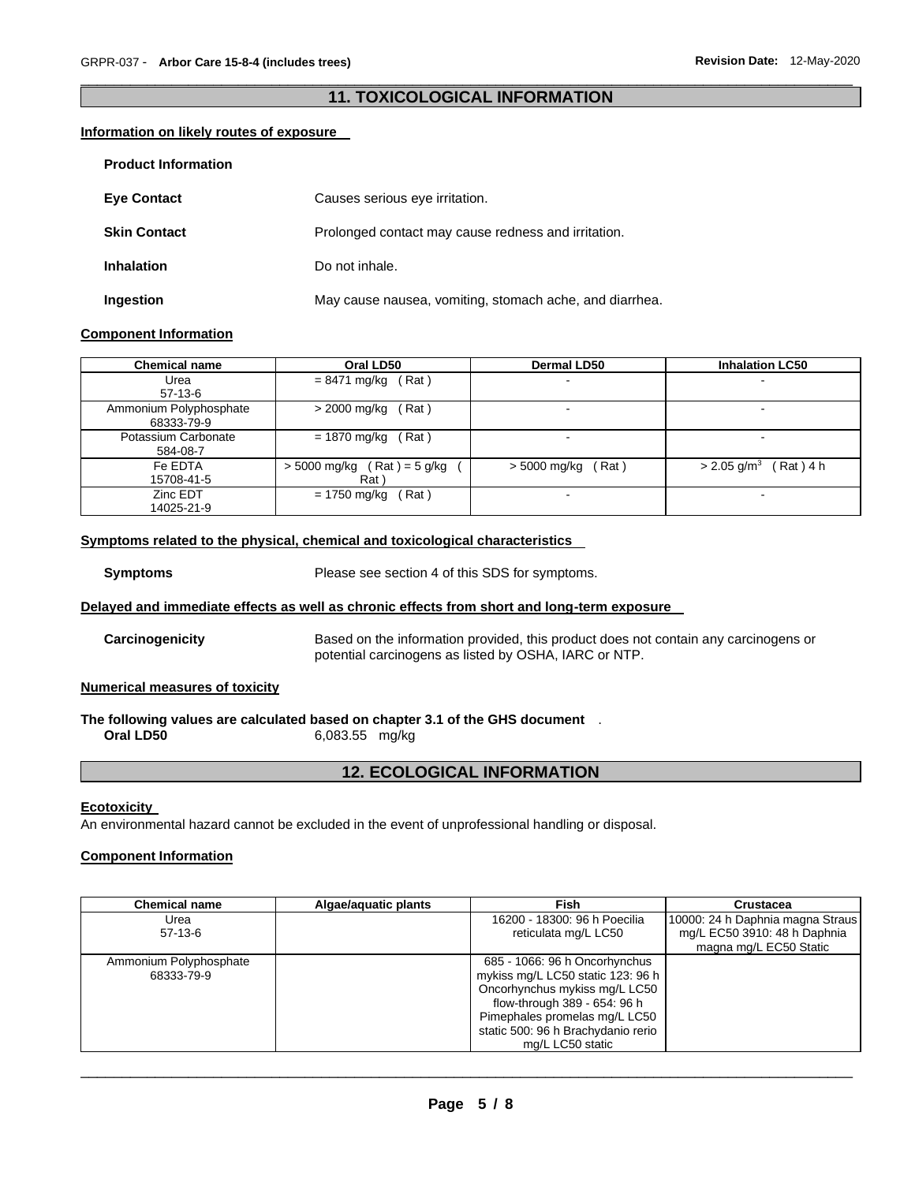# \_\_\_\_\_\_\_\_\_\_\_\_\_\_\_\_\_\_\_\_\_\_\_\_\_\_\_\_\_\_\_\_\_\_\_\_\_\_\_\_\_\_\_\_\_\_\_\_\_\_\_\_\_\_\_\_\_\_\_\_\_\_\_\_\_\_\_\_\_\_\_\_\_\_\_\_\_\_\_\_\_\_\_\_\_\_\_\_\_\_\_\_\_ **11. TOXICOLOGICAL INFORMATION**

# **Information on likely routes of exposure**

| <b>Product Information</b> |                                                         |
|----------------------------|---------------------------------------------------------|
| <b>Eye Contact</b>         | Causes serious eye irritation.                          |
| <b>Skin Contact</b>        | Prolonged contact may cause redness and irritation.     |
| <b>Inhalation</b>          | Do not inhale.                                          |
| Ingestion                  | May cause nausea, vomiting, stomach ache, and diarrhea. |

#### **Component Information**

| <b>Chemical name</b>   | Oral LD50                     | Dermal LD50              | <b>Inhalation LC50</b>                |
|------------------------|-------------------------------|--------------------------|---------------------------------------|
| Urea                   | $= 8471$ mg/kg (Rat)          | $\,$                     |                                       |
| $57-13-6$              |                               |                          |                                       |
| Ammonium Polyphosphate | Rat)<br>> 2000 mg/kg          |                          |                                       |
| 68333-79-9             |                               |                          |                                       |
| Potassium Carbonate    | = 1870 mg/kg<br>(Rat)         | $\overline{\phantom{0}}$ |                                       |
| 584-08-7               |                               |                          |                                       |
| Fe EDTA                | $>$ 5000 mg/kg (Rat) = 5 g/kg | (Rat)<br>> 5000 mg/kg    | Rat) 4 h<br>$> 2.05$ g/m <sup>3</sup> |
| 15708-41-5             | Rat)                          |                          |                                       |
| Zinc EDT               | Rat)<br>= 1750 mg/kg          |                          |                                       |
| 14025-21-9             |                               |                          |                                       |

# **Symptoms related to the physical, chemical and toxicological characteristics**

**Symptoms** Please see section 4 of this SDS for symptoms.

# **Delayed and immediate effects as well as chronic effects from short and long-term exposure**

**Carcinogenicity** Based on the information provided, this product does not contain any carcinogens or potential carcinogens as listed by OSHA, IARC or NTP.

#### **Numerical measures of toxicity**

#### **The following values are calculated based on chapter 3.1 of the GHS document** . **Oral LD50** 6,083.55 mg/kg

# **12. ECOLOGICAL INFORMATION**

#### **Ecotoxicity**

An environmental hazard cannot be excluded in the event of unprofessional handling or disposal.

# **Component Information**

| <b>Chemical name</b>   | Algae/aquatic plants | Fish                               | Crustacea                        |
|------------------------|----------------------|------------------------------------|----------------------------------|
| Urea                   |                      | 16200 - 18300: 96 h Poecilia       | 10000: 24 h Daphnia magna Straus |
| $57-13-6$              |                      | reticulata mg/L LC50               | mg/L EC50 3910: 48 h Daphnia     |
|                        |                      |                                    | magna mg/L EC50 Static           |
| Ammonium Polyphosphate |                      | 685 - 1066: 96 h Oncorhynchus      |                                  |
| 68333-79-9             |                      | mykiss mg/L LC50 static 123: 96 h  |                                  |
|                        |                      | Oncorhynchus mykiss mg/L LC50      |                                  |
|                        |                      | flow-through 389 - 654: 96 h       |                                  |
|                        |                      | Pimephales promelas mg/L LC50      |                                  |
|                        |                      | static 500: 96 h Brachydanio rerio |                                  |
|                        |                      | mg/L LC50 static                   |                                  |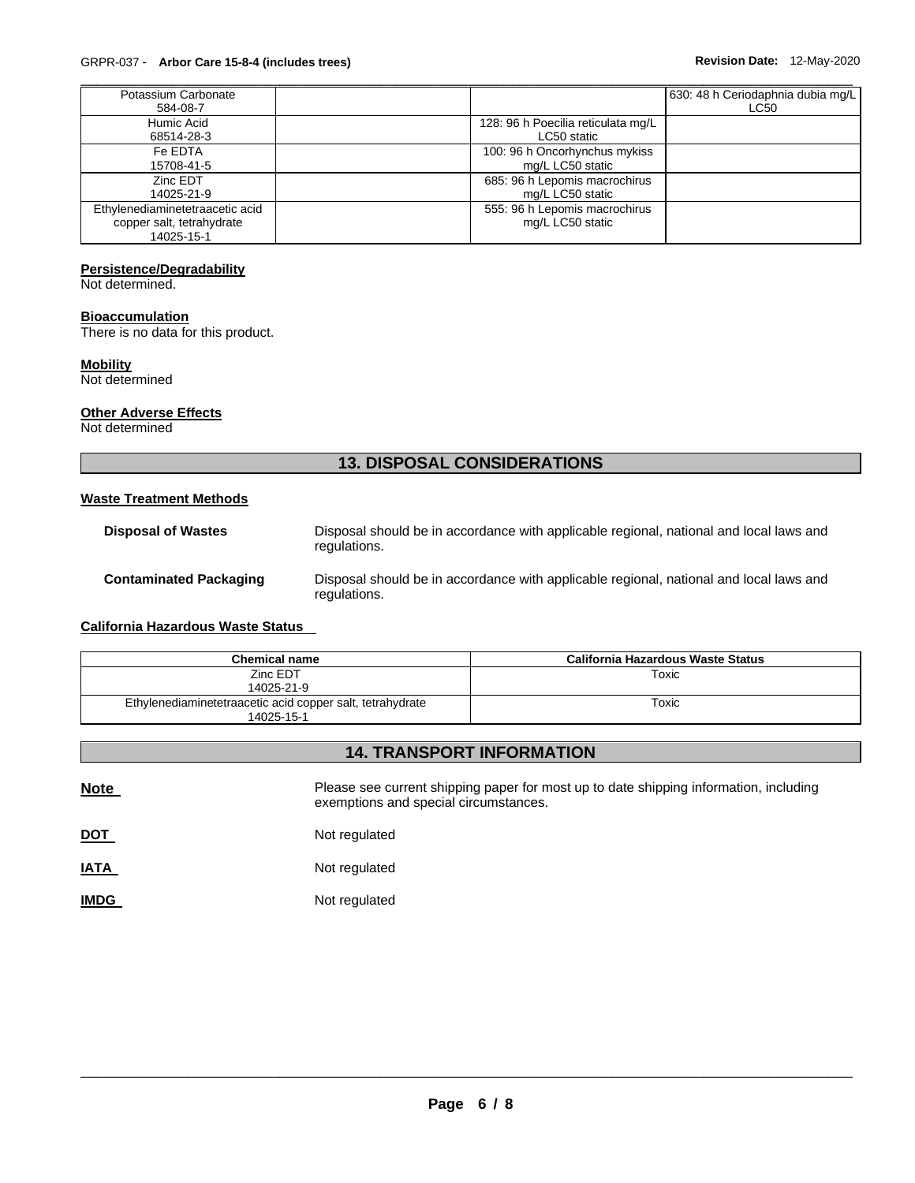| Potassium Carbonate             |                                    | 630: 48 h Ceriodaphnia dubia mg/L |
|---------------------------------|------------------------------------|-----------------------------------|
| 584-08-7                        |                                    | <b>LC50</b>                       |
| Humic Acid                      | 128: 96 h Poecilia reticulata mg/L |                                   |
| 68514-28-3                      | LC50 static                        |                                   |
| Fe EDTA                         | 100: 96 h Oncorhynchus mykiss      |                                   |
| 15708-41-5                      | mg/L LC50 static                   |                                   |
| Zinc EDT                        | 685: 96 h Lepomis macrochirus      |                                   |
| 14025-21-9                      | mg/L LC50 static                   |                                   |
| Ethylenediaminetetraacetic acid | 555: 96 h Lepomis macrochirus      |                                   |
| copper salt, tetrahydrate       | mg/L LC50 static                   |                                   |
| 14025-15-1                      |                                    |                                   |

# **Persistence/Degradability**

Not determined.

#### **Bioaccumulation**

There is no data for this product.

# **Mobility**

Not determined

#### **Other Adverse Effects**

Not determined

# **13. DISPOSAL CONSIDERATIONS**

#### **Waste Treatment Methods**

| <b>Disposal of Wastes</b>     | Disposal should be in accordance with applicable regional, national and local laws and<br>regulations. |
|-------------------------------|--------------------------------------------------------------------------------------------------------|
| <b>Contaminated Packaging</b> | Disposal should be in accordance with applicable regional, national and local laws and<br>regulations. |

# **California Hazardous Waste Status**

| <b>Chemical name</b>                                      | California Hazardous Waste Status |
|-----------------------------------------------------------|-----------------------------------|
| Zinc EDT                                                  | Toxic                             |
| 14025-21-9                                                |                                   |
| Ethylenediaminetetraacetic acid copper salt, tetrahydrate | Toxic                             |
| 14025-15-1                                                |                                   |

# **14. TRANSPORT INFORMATION**

| <b>Note</b> | Please see current shipping paper for most up to date shipping information, including<br>exemptions and special circumstances. |  |  |  |  |
|-------------|--------------------------------------------------------------------------------------------------------------------------------|--|--|--|--|
| <u>DOT</u>  | Not regulated                                                                                                                  |  |  |  |  |
| <b>IATA</b> | Not regulated                                                                                                                  |  |  |  |  |
| <u>IMDG</u> | Not regulated                                                                                                                  |  |  |  |  |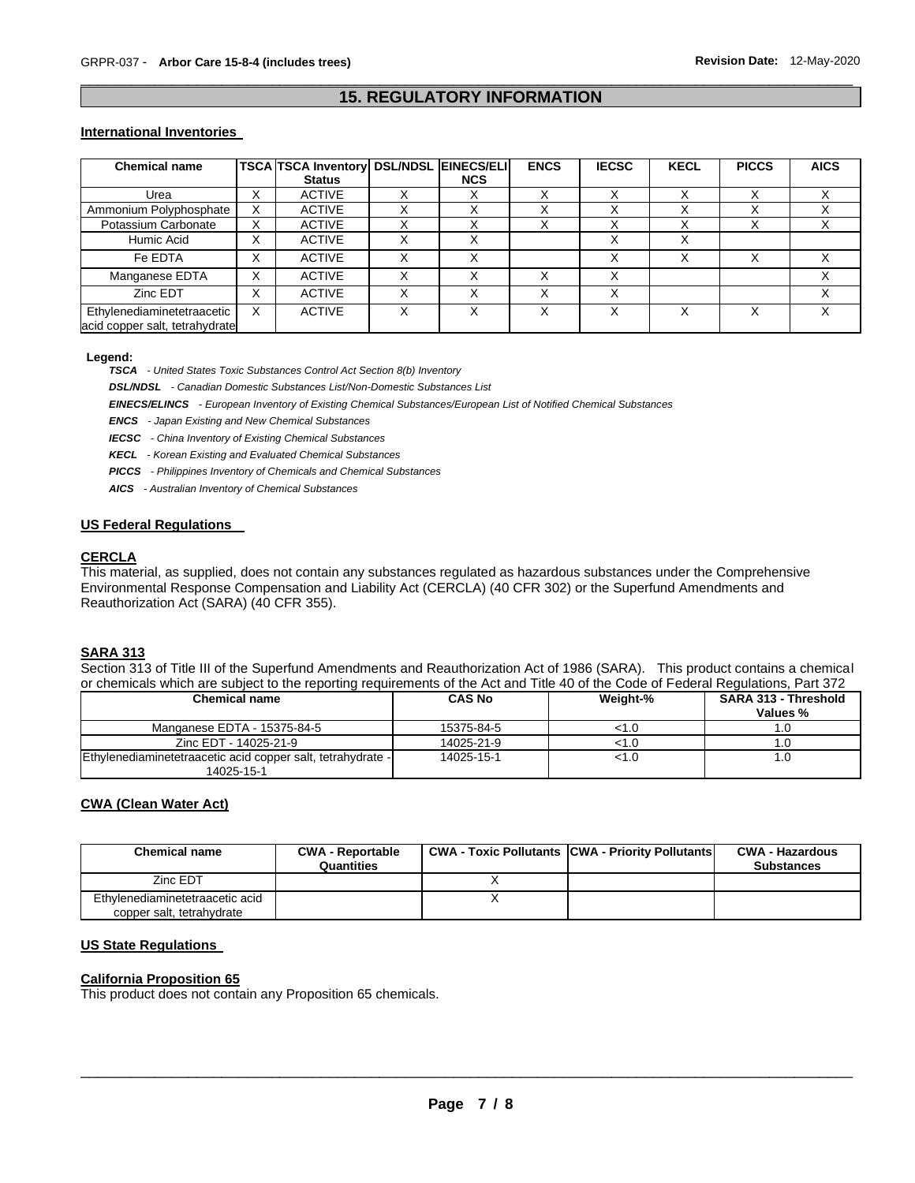# \_\_\_\_\_\_\_\_\_\_\_\_\_\_\_\_\_\_\_\_\_\_\_\_\_\_\_\_\_\_\_\_\_\_\_\_\_\_\_\_\_\_\_\_\_\_\_\_\_\_\_\_\_\_\_\_\_\_\_\_\_\_\_\_\_\_\_\_\_\_\_\_\_\_\_\_\_\_\_\_\_\_\_\_\_\_\_\_\_\_\_\_\_ **15. REGULATORY INFORMATION**

#### **International Inventories**

| <b>Chemical name</b>                                         |                           | <b>TSCA TSCA Inventory DSL/NDSL EINECS/ELI</b> |            | <b>ENCS</b> | <b>IECSC</b> | <b>KECL</b>  | <b>PICCS</b> | <b>AICS</b> |
|--------------------------------------------------------------|---------------------------|------------------------------------------------|------------|-------------|--------------|--------------|--------------|-------------|
|                                                              |                           | <b>Status</b>                                  | <b>NCS</b> |             |              |              |              |             |
| Urea                                                         | $\checkmark$<br>∧         | <b>ACTIVE</b>                                  |            |             |              |              |              |             |
| Ammonium Polyphosphate                                       | $\checkmark$<br>⌒         | <b>ACTIVE</b>                                  |            |             |              | ⌒            |              |             |
| Potassium Carbonate                                          | $\checkmark$<br>^         | <b>ACTIVE</b>                                  |            |             |              |              |              | ^           |
| Humic Acid                                                   | ⋏                         | <b>ACTIVE</b>                                  |            |             | $\check{ }$  | X            |              |             |
| Fe EDTA                                                      | $\checkmark$<br>$\lambda$ | <b>ACTIVE</b>                                  | Χ          |             | X            | X            | X            | x           |
| Manganese EDTA                                               | $\checkmark$<br>ᄉ         | <b>ACTIVE</b>                                  |            | X           |              |              |              |             |
| Zinc EDT                                                     |                           | <b>ACTIVE</b>                                  |            |             |              |              |              |             |
| Ethylenediaminetetraacetic<br>acid copper salt, tetrahydrate | X                         | <b>ACTIVE</b>                                  |            | Χ           |              | $\checkmark$ |              |             |

#### **Legend:**

*TSCA - United States Toxic Substances Control Act Section 8(b) Inventory* 

*DSL/NDSL - Canadian Domestic Substances List/Non-Domestic Substances List* 

*EINECS/ELINCS - European Inventory of Existing Chemical Substances/European List of Notified Chemical Substances* 

*ENCS - Japan Existing and New Chemical Substances* 

*IECSC - China Inventory of Existing Chemical Substances* 

*KECL - Korean Existing and Evaluated Chemical Substances* 

*PICCS - Philippines Inventory of Chemicals and Chemical Substances* 

*AICS - Australian Inventory of Chemical Substances* 

#### **US Federal Regulations**

#### **CERCLA**

This material, as supplied, does not contain any substances regulated as hazardous substances under the Comprehensive Environmental Response Compensation and Liability Act (CERCLA) (40 CFR 302) or the Superfund Amendments and Reauthorization Act (SARA) (40 CFR 355).

#### **SARA 313**

Section 313 of Title III of the Superfund Amendments and Reauthorization Act of 1986 (SARA). This product contains a chemical or chemicals which are subject to the reporting requirements of the Act and Title 40 of the Code of Federal Regulations, Part 372

| <b>Chemical name</b>                                        | <b>CAS No</b> | Weight-% | <b>SARA 313 - Threshold</b><br>Values % |
|-------------------------------------------------------------|---------------|----------|-----------------------------------------|
| Manganese EDTA - 15375-84-5                                 | 15375-84-5    | <1.0     |                                         |
| Zinc EDT - 14025-21-9                                       | 14025-21-9    | <1.0     |                                         |
| Ethylenediaminetetraacetic acid copper salt, tetrahydrate - | 14025-15-1    | <1.0     |                                         |
| 14025-15-1                                                  |               |          |                                         |

# **CWA (Clean Water Act)**

| <b>Chemical name</b>                                         | <b>CWA - Reportable</b><br>Quantities | <b>CWA - Toxic Pollutants CWA - Priority Pollutants</b> | <b>CWA - Hazardous</b><br><b>Substances</b> |
|--------------------------------------------------------------|---------------------------------------|---------------------------------------------------------|---------------------------------------------|
| Zinc EDT                                                     |                                       |                                                         |                                             |
| Ethylenediaminetetraacetic acid<br>copper salt, tetrahydrate |                                       |                                                         |                                             |

#### **US State Regulations**

#### **California Proposition 65**

This product does not contain any Proposition 65 chemicals.